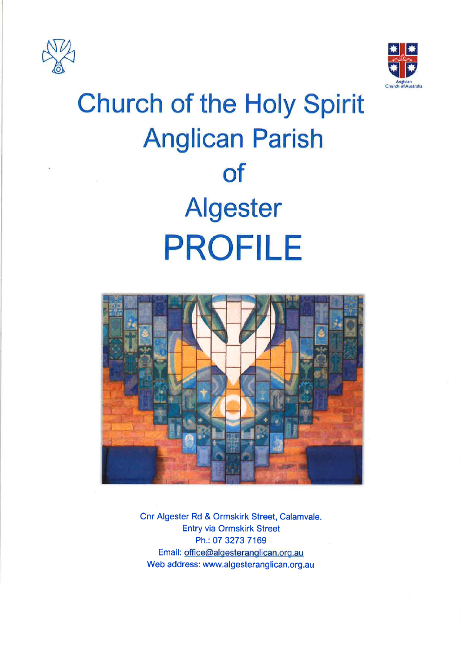



# **Church of the Holy Spirit Anglican Parish of Algester PROFILE**



Cnr Algester Rd & Ormskirk Street, Calamvale. **Entry via Ormskirk Street** Ph.: 07 3273 7169 Email: office@algesteranglican.org.au Web address: www.algesteranglican.org.au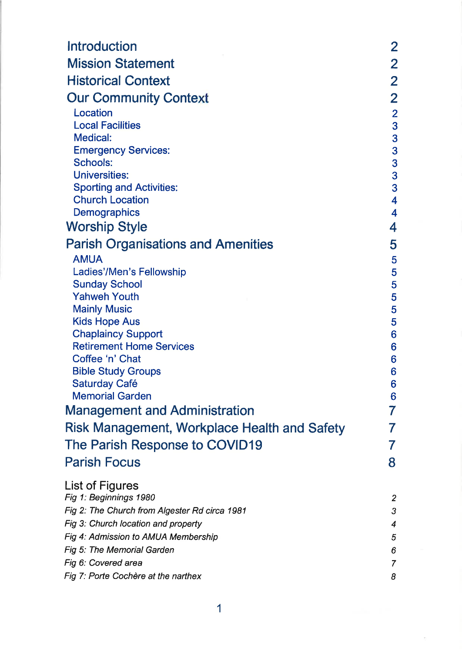| <b>Introduction</b>                                     | $\overline{2}$          |
|---------------------------------------------------------|-------------------------|
| <b>Mission Statement</b>                                | $\overline{2}$          |
| <b>Historical Context</b>                               | $\overline{2}$          |
| <b>Our Community Context</b>                            | $\overline{2}$          |
| Location                                                | $\overline{2}$          |
| <b>Local Facilities</b>                                 | 3                       |
| <b>Medical:</b>                                         | 3                       |
| <b>Emergency Services:</b>                              | 3                       |
| <b>Schools:</b>                                         | 3                       |
| <b>Universities:</b><br><b>Sporting and Activities:</b> | 3<br>3                  |
| <b>Church Location</b>                                  | $\overline{\mathbf{4}}$ |
| Demographics                                            | 4                       |
| <b>Worship Style</b>                                    | 4                       |
| <b>Parish Organisations and Amenities</b>               | 5                       |
| <b>AMUA</b>                                             | 5                       |
| Ladies'/Men's Fellowship                                | 5                       |
| <b>Sunday School</b>                                    | 5                       |
| <b>Yahweh Youth</b>                                     | 5                       |
| <b>Mainly Music</b><br><b>Kids Hope Aus</b>             | 5                       |
| <b>Chaplaincy Support</b>                               | 5<br>$6\phantom{1}6$    |
| <b>Retirement Home Services</b>                         | 6                       |
| Coffee 'n' Chat                                         | 6                       |
| <b>Bible Study Groups</b>                               | 6                       |
| <b>Saturday Café</b>                                    | 6                       |
| <b>Memorial Garden</b>                                  | 6                       |
| <b>Management and Administration</b>                    | 7                       |
| Risk Management, Workplace Health and Safety            | 7                       |
| The Parish Response to COVID19                          | 7                       |
| <b>Parish Focus</b>                                     | 8                       |
| <b>List of Figures</b>                                  |                         |
| Fig 1: Beginnings 1980                                  | $\overline{2}$          |
| Fig 2: The Church from Algester Rd circa 1981           | 3                       |
| Fig 3: Church location and property                     | 4                       |
| Fig 4: Admission to AMUA Membership                     | 5                       |
| Fig 5: The Memorial Garden                              | 6                       |
| Fig 6: Covered area                                     | 7                       |
| Fig 7: Porte Cochère at the narthex                     | 8                       |

 $\overline{\mathcal{O}}$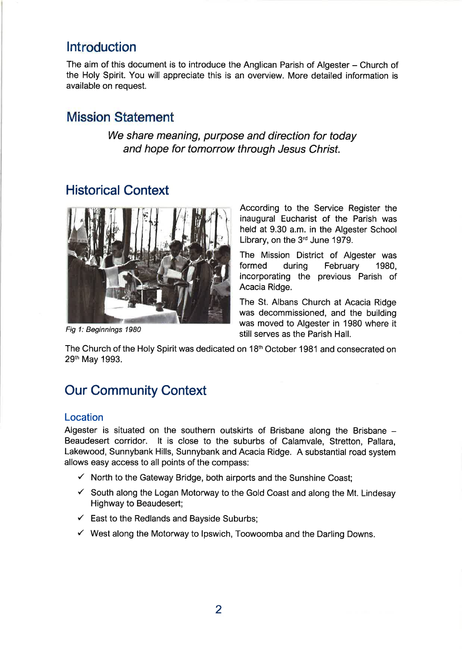# lntroduction

The aim of this document is to introduce the Anglican Parish of Algester - Church of the Holy Spirit. You will appreciate this is an overview. More detailed information is available on request.

# Mission Statement

We share meaning, purpose and direction for today and hope for tomorrow through Jesus Christ.

# Historical Context



Fig 1: Beginnings 1980

According to the Service Register the inaugural Eucharist of the Parish was held at 9.30 a.m. in the Algester School Library, on the 3<sup>rd</sup> June 1979.

The Mission District of Algester was<br>formed during February 1980. during February 1980, incorporating the previous Parish of Acacia Ridge.

The St. Albans Church at Acacia Ridge was decommissioned, and the building was moved to Algester in 1980 where it still serves as the Parish Hall.

The Church of the Holy Spirit was dedicated on 18<sup>th</sup> October 1981 and consecrated on 29th May 1993.

# Our Community Context

## Location

Algester is situated on the southern outskirts of Brisbane along the Brisbane -Beaudesert corridor. lt is close to the suburbs of Calamvale, Stretton, Pallara, Lakewood, Sunnybank Hills, Sunnybank and Acacia Ridge. A substantial road system allows easy access to all points of the compass:

- $\checkmark$  North to the Gateway Bridge, both airports and the Sunshine Coast;
- $\checkmark$  South along the Logan Motorway to the Gold Coast and along the Mt. Lindesay Highway to Beaudesert;
- $\checkmark$  East to the Redlands and Bayside Suburbs;
- $\checkmark$  West along the Motorway to Ipswich, Toowoomba and the Darling Downs.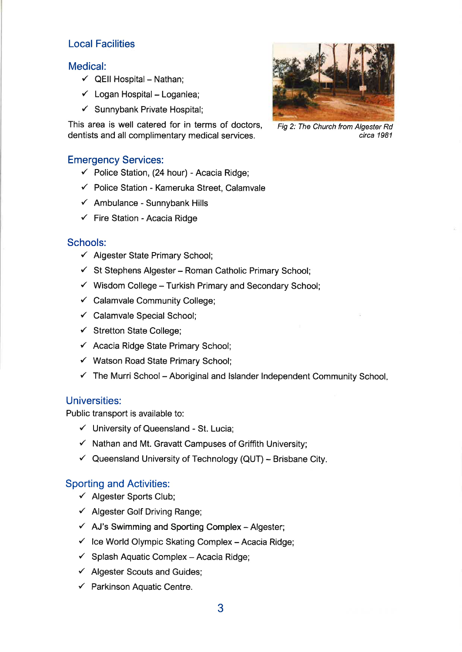## Local Facilities

## Medical:

- $\checkmark$  QEII Hospital Nathan;
- $\checkmark$  Logan Hospital Loganlea;
- $\checkmark$  Sunnybank Private Hospital;

This area is well catered for in terms of doctors, dentists and all complimentary medical services.

### Emergency Services:

- $\checkmark$  Police Station, (24 hour) Acacia Ridge;
- $\checkmark$  Police Station Kameruka Street, Calamvale
- $\checkmark$  Ambulance Sunnybank Hills
- $\checkmark$  Fire Station Acacia Ridge

#### Schools:

- $\checkmark$  Algester State Primary School;
- $\checkmark$  St Stephens Algester Roman Catholic Primary School;
- $\checkmark$  Wisdom College Turkish Primary and Secondary School;
- $\checkmark$  Calamvale Community College;
- $\checkmark$  Calamvale Special School;
- $\checkmark$  Stretton State College;
- $\checkmark$  Acacia Ridge State Primary School;
- $\checkmark$  Watson Road State Primary School;
- $\checkmark$  The Murri School Aboriginal and Islander Independent Community School.

#### Universities:

Public transport is available to:

- $\checkmark$  University of Queensland St. Lucia;
- $\checkmark$  Nathan and Mt. Gravatt Campuses of Griffith University;
- $\checkmark$  Queensland University of Technology (QUT) Brisbane City.

#### Sporting and Activities:

- $\checkmark$  Algester Sports Club;
- $\checkmark$  Algester Golf Driving Range;
- $\checkmark$  AJ's Swimming and Sporting Complex Algester;
- $\checkmark$  Ice World Olympic Skating Complex Acacia Ridge;
- $\checkmark$  Splash Aquatic Complex Acacia Ridge;
- $\checkmark$  Algester Scouts and Guides;
- $\checkmark$  Parkinson Aquatic Centre.



Fig 2: The Church from Algester Rd circa 1981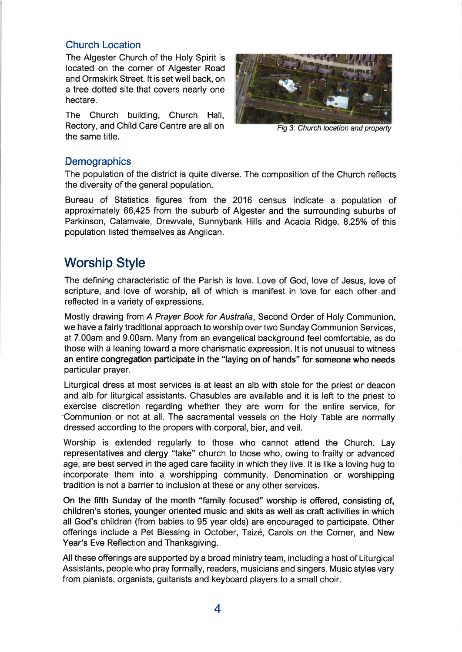## Church Location

The Algester Church of the Holy Spirit is located on the corner of Algester Road and Ormskirk Street. lt is set well back, on a tree dotted site that covers nearly one hectare.

The Church building, Church Hall, Rectory, and Child Care Centre are all on the same title.



Fig 3: Church location and property

## **Demographics**

The population of the district is quite diverse. The composition of the Church reflects the diversity of the general population.

Bureau of Statistics figures from the 2016 census indicate a population of approximately 66,425 from the suburb of Algester and the surrounding suburbs of Parkinson, Calamvale, Drewvale, Sunnybank Hills and Acacia Ridge. 8.25% of this population listed themselves as Anglican.

# Worship Style

The defining characteristic of the Parish is love. Love of God, love of Jesus, love of scripture, and love of worship, all of which is manifest in love for each other and reflected in a variety of expressions.

Mostly drawing from.A Prayer Book for Australia, Second Order of Holy Communion, we have a fairly traditional approach to worship over two Sunday Communion Services, at 7.00am and 9.00am. Many from an evangelical background feel comfortable, as do those with a leaning toward a more charismatic expression. lt is not unusual to witness an entire congregation participate in the "laying on of hands" for someone who needs particular prayer.

Liturgical dress at most services is at least an alb with stole for the priest or deacon and alb for liturgical assistants. Chasubles are available and it is left to the priest to exercise discretion regarding whether they are worn for the entire seryice, for -Communion or not at all. The sacramental vessels on the Holy Table are normally dressed according to the propers with corporal, bier, and veil.

Worship is extended regularly to those who cannot attend the Church. Lay representatives and clergy "take" church to those who, owing to frailty or advanced age, are best served in the aged care facility in which they live. lt is like a loving hug to incorporate them into a worshipping community. Denomination or worshipping tradition is not a barrier to inclusion at these or any other services.

On the fifrh Sunday of the month "family focused" worship is offered, consisting of, children's stories, younger oriented music and skits as well as craft activities in which all God's children (from babies to 95 year olds) are encouraged to participate. Other offerings include a Pet Blessing in October, Taizé, Carols on the Corner, and New Year's Eve Reflection and Thanksgiving.

All these oflerings are supported by a broad ministry team, including a host of Liturgical Assistants, people who pray formally, readers, musicians and singers. Music styles vary from pianists, organists, guitarists and keyboard players to a small choir.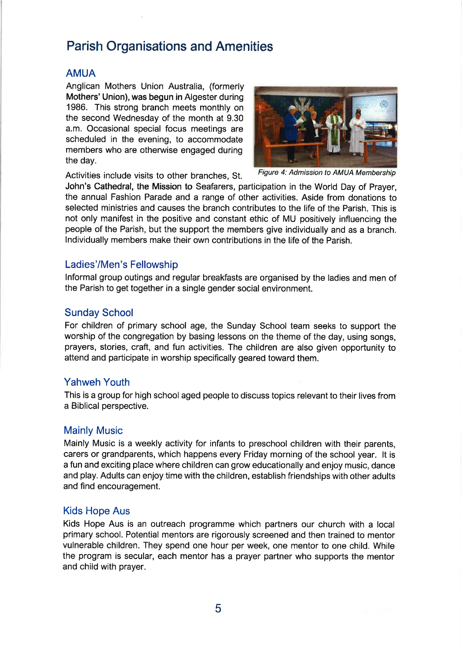# Parish Organisations and Amenities

## AMUA

Anglican Mothers Union Australia, (formerly Mothers' Union), was begun in Algester during 1986. This strong branch meets monthly on the second Wednesday of the month at 9.30 a.m. Occasional special focus meetings are scheduled in the evening, to accommodate members who are otherwise engaged during the day.



Activities include visits to other branches, St. Figure 4: Admission to AMUA Membership

John's Cathedral, the Mission to Seafarers, participation in the World Day of Prayer, the annual Fashion Parade and a range of other activities. Aside from donations to selected ministries and causes the branch contributes to the life of the Parish. This is not only manifest in the positive and constant ethic of MU positively influencing the people of the Parish, but the support the members give individually and as a branch. lndividually members make their own contributions in the life of the Parish.

## Ladies'/Men's Fellowship

lnformal group outings and regular breakfasts are organised by the ladies and men of the Parish to get together in a single gender social environment.

## Sunday School

For children of primary school age, the Sunday School team seeks to support the worship of the congregation by basing lessons on the theme of the day, using songs, prayers, stories, craft, and fun activities. The children are also given opportunity to attend and participate in worship specifically geared toward them.

## Yahweh Youth

This is a group for high school aged people to discuss topics relevant to their lives from a Biblical perspective.

## Mainly Music

Mainly Music is a weekly activity for infants to preschool children with their parents, carers or grandparents, which happens every Friday morning of the school year. lt is a fun and exciting place where children can grow educationally and enjoy music, dance and play. Adults can enjoy time with the children, establish friendships with other adults and find encouragement.

## Kids Hope Aus

Kids Hope Aus is an outreach programme which partners our church with a local primary school. Potential mentors are rigorously screened and then trained to mentor vulnerable children. They spend one hour per week, one mentor to one child. While the program is secular, each mentor has a prayer partner who supports the mentor and child with prayer.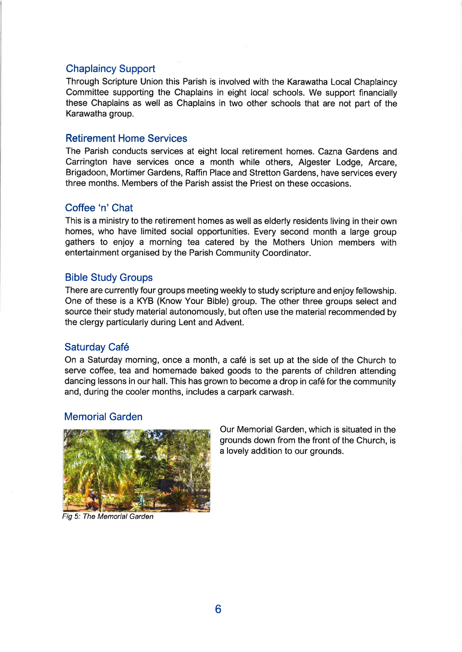## Chaplaincy Support

Through Scripture Union this Parish is involved with the Karawatha Local Chaplaincy Committee supporting the Chaplains in eight local schools. We support financially these Chaplains as well as Chaplains in two other schools that are not part of the Karawatha group.

#### Retirement Home Services

The Parish conducts services at eight local retirement homes. Cazna Gardens and Carrington have services once a month while others, Algester Lodge, Arcare, Brigadoon, Mortimer Gardens, Raffin Place and Stretton Gardens, have services every three months. Members of the Parish assist the Priest on these occasions.

## Coffee'n'Chat

This is a ministry to the retirement homes as well as elderly residents living in their own homes, who have limited social opportunities. Every second month a large group gathers to enjoy a morning tea catered by the Mothers Union members with entertainment organised by the Parish Community Coordinator.

#### Bible Study Groups

There are currently four groups meeting weekly to study scripture and enjoy fellowship. One of these is a KYB (Know Your Bible) group. The other three groups select and source their study material autonomously, but often use the material recommended by the clergy particularly during Lent and Advent.

### Saturday Café

On a Saturday morning, once a month, a café is set up at the side of the Church to serve coffee, tea and homemade baked goods to the parents of children attending dancing lessons in our hall. This has grown to become a drop in café for the community and, during the cooler months, includes a carpark carwash.

#### Memorial Garden



Our Memorial Garden, which is situated in the grounds down from the front of the Church, is a lovely addition to our grounds.

Fig 5: The Memorial Garden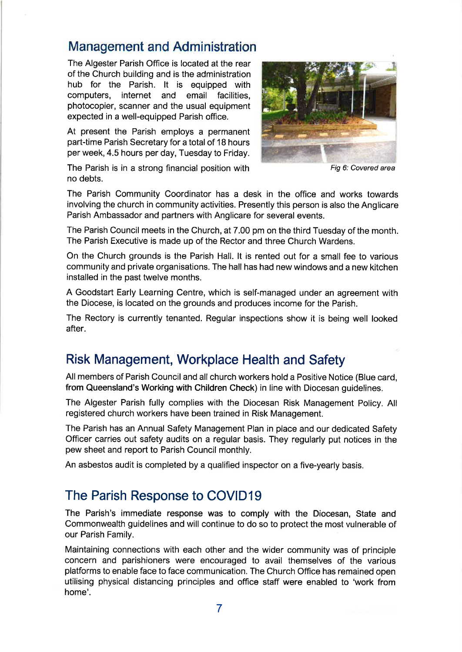# Management and Administration

The Algester Parish Office is located at the rear of the Church building and is the administration hub for the Parish. lt is equipped with computers, internet and email facilities, photocopier, scanner and the usual equipment expected in a well-equipped Parish office.

At present the Parish employs a permanent part-time Parish Secretary for a total of 18 hours per week,4.5 hours per day, Tuesday to Friday.



Fig 6: Covered area

The Parish is in a strong financial position with no debts.

The Parish Community Coordinator has a desk in the office and works towards involving the church in community activities. Presently this person is also the Anglicare Parish Ambassador and partners with Anglicare for several events.

The Parish Council meets in the Church, at 7.00 pm on the third Tuesday of the month. The Parish Executive is made up of the Rector and three Church Wardens.

On the Church grounds is the Parish Hall. lt is rented out for a small fee to various community and private organisations. The hall has had new windows and a new kitchen installed in the past twelve months.

A Goodstart Early Learning Centre, which is self-managed under an agreement with the Diocese, is located on the grounds and produces income for the Parish.

The Rectory is currently tenanted. Regular inspections show it is being well looked after.

# Risk Management, Workplace Health and Safety

All members of Parish Council and all church workers hold a Positive Notice (Blue card, from Queensland's Working with Children Check) in line with Diocesan guidelines.

The Algester Parish fully complies with the Diocesan Risk Management Policy. All registered church workers have been trained in Risk Management.

The Parish has an Annual Safety Management Plan in place and our dedicated Safety Offlcer carries out safety audits on a regular basis. They regularly put notices in the pew sheet and report to Parish Council monthly.

An asbestos audit is completed by a qualified inspector on a five-yearly basis.

# The Parish Response to COVID19

The Parish's immediate response was to comply with the Diocesan, State and Commonwealth guidelines and will continue to do so to protect the most vulnerable of our Parish Family.

Maintaining connections with each other and the wider community was of principle concern and parishioners were encouraged to avail themselves of the various platforms to enable face to face communication. The Church Office has remained open utilising physical distancing principles and office staff were enabled to 'work from home'.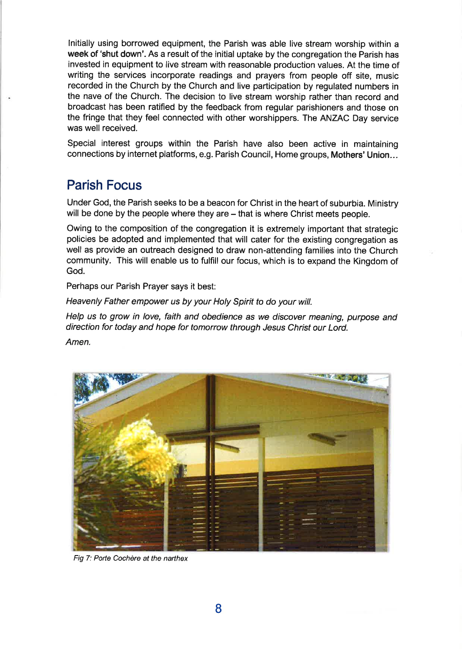lnitially using borrowed equipment, the Parish was able live stream worship within a week of 'shut down'. As a result of the initial uptake by the congregation the Parish has invested in equipment to live stream with reasonable production values. At the time of writing the services incorporate readings and prayers from people off site, music recorded in the Church by the Church and live participation by regulated numbers in the nave of the Church. The decision to live stream worship rather than.record and broadcast has been ratified by the feedback from regular parishioners and those on the fringe that they feel connected with other worshippers. The ANZAC Day service was well received.

Special interest groups within the Parish have also been active in maintaining connections by internet platforms, e.g. Parish Council, Home groups, Mothers'Union...

## Parish Focus

Under God, the Parish seeks to be a beacon for Christ in the heart of suburbia. Ministry will be done by the people where they are - that is where Christ meets people.

Owing to the composition of the congregation it is extremely important that strategic policies be adopted and implemented that will cater for the existing congregation as well as provide an outreach designed to draw non-attending families into the Church community. This will enable us to fulfill our focus, which is to expand the Kingdom of God.

Perhaps our Parish Prayer says it best:

Heavenly Father empower us by your Holy Spirit to do your will.

Help us to grow in love, faith and obedience as we discover meaning, purpose and direction for today and hope for tomorrow through Jesus Christ our Lord.

Amen.



Fig 7: Porte Cochère at the narthex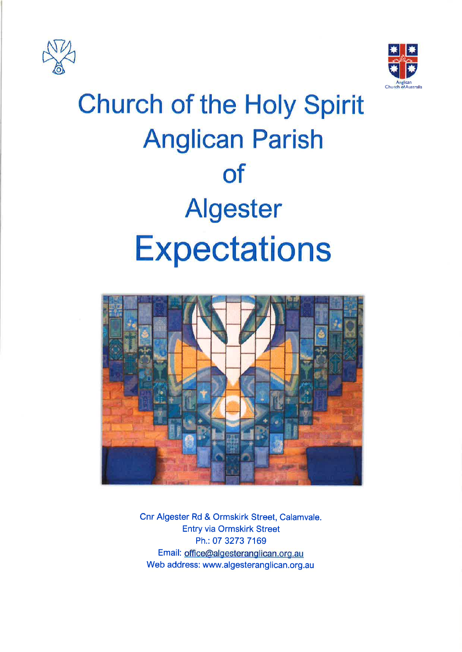



# **Church of the Holy Spirit Anglican Parish of Algester Expectations**



Cnr Algester Rd & Ormskirk Street, Calamvale. **Entry via Ormskirk Street** Ph.: 07 3273 7169 Email: office@algesteranglican.org.au Web address: www.algesteranglican.org.au